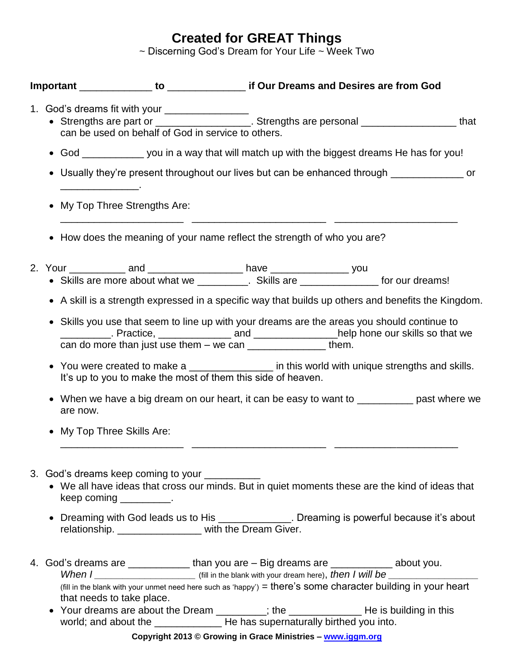## **Created for GREAT Things**

~ Discerning God's Dream for Your Life ~ Week Two

|  | 1. God's dreams fit with your ________________<br>• Strengths are part or <u>entity and the Strengths are personal</u><br>can be used on behalf of God in service to others.                                                                                                                                                                                                                                                                                                                                                                                                                         |                                                                        |  |  |
|--|------------------------------------------------------------------------------------------------------------------------------------------------------------------------------------------------------------------------------------------------------------------------------------------------------------------------------------------------------------------------------------------------------------------------------------------------------------------------------------------------------------------------------------------------------------------------------------------------------|------------------------------------------------------------------------|--|--|
|  | • God _______________ you in a way that will match up with the biggest dreams He has for you!                                                                                                                                                                                                                                                                                                                                                                                                                                                                                                        |                                                                        |  |  |
|  | Usually they're present throughout our lives but can be enhanced through _____________ or<br>$\bullet$                                                                                                                                                                                                                                                                                                                                                                                                                                                                                               |                                                                        |  |  |
|  | My Top Three Strengths Are:<br>$\bullet$                                                                                                                                                                                                                                                                                                                                                                                                                                                                                                                                                             |                                                                        |  |  |
|  | $\bullet$                                                                                                                                                                                                                                                                                                                                                                                                                                                                                                                                                                                            | How does the meaning of your name reflect the strength of who you are? |  |  |
|  | • Skills are more about what we _________. Skills are ______________ for our dreams!                                                                                                                                                                                                                                                                                                                                                                                                                                                                                                                 |                                                                        |  |  |
|  | • A skill is a strength expressed in a specific way that builds up others and benefits the Kingdom.                                                                                                                                                                                                                                                                                                                                                                                                                                                                                                  |                                                                        |  |  |
|  | Skills you use that seem to line up with your dreams are the areas you should continue to<br>$\bullet$<br>___________. Practice, ________________ and ________________help hone our skills so that we<br>can do more than just use them $-$ we can $\frac{1}{\sqrt{1-\frac{1}{2}}}\frac{1}{\sqrt{1-\frac{1}{2}}}\frac{1}{\sqrt{1-\frac{1}{2}}}\frac{1}{\sqrt{1-\frac{1}{2}}}\frac{1}{\sqrt{1-\frac{1}{2}}}\frac{1}{\sqrt{1-\frac{1}{2}}}\frac{1}{\sqrt{1-\frac{1}{2}}}\frac{1}{\sqrt{1-\frac{1}{2}}}\frac{1}{\sqrt{1-\frac{1}{2}}}\frac{1}{\sqrt{1-\frac{1}{2}}}\frac{1}{\sqrt{1-\frac{1}{2}}}\frac$ |                                                                        |  |  |
|  | • You were created to make a ________________ in this world with unique strengths and skills.<br>It's up to you to make the most of them this side of heaven.                                                                                                                                                                                                                                                                                                                                                                                                                                        |                                                                        |  |  |
|  | When we have a big dream on our heart, it can be easy to want to ___________ past where we<br>are now.                                                                                                                                                                                                                                                                                                                                                                                                                                                                                               |                                                                        |  |  |
|  | • My Top Three Skills Are:                                                                                                                                                                                                                                                                                                                                                                                                                                                                                                                                                                           |                                                                        |  |  |
|  | 3. God's dreams keep coming to your __________<br>• We all have ideas that cross our minds. But in quiet moments these are the kind of ideas that<br>keep coming ___________.                                                                                                                                                                                                                                                                                                                                                                                                                        |                                                                        |  |  |
|  | Dreaming with God leads us to His _______________. Dreaming is powerful because it's about<br>relationship. _______________ with the Dream Giver.                                                                                                                                                                                                                                                                                                                                                                                                                                                    |                                                                        |  |  |
|  | 4. God's dreams are _______________ than you are - Big dreams are ____________ about you.<br>When I _______________________________ (fill in the blank with your dream here), then I will be ______________<br>(fill in the blank with your unmet need here such as 'happy') = there's some character building in your heart<br>that needs to take place.                                                                                                                                                                                                                                            |                                                                        |  |  |
|  | $\bullet$                                                                                                                                                                                                                                                                                                                                                                                                                                                                                                                                                                                            |                                                                        |  |  |

**Copyright 2013 © Growing in Grace Ministries – www.iggm.org**